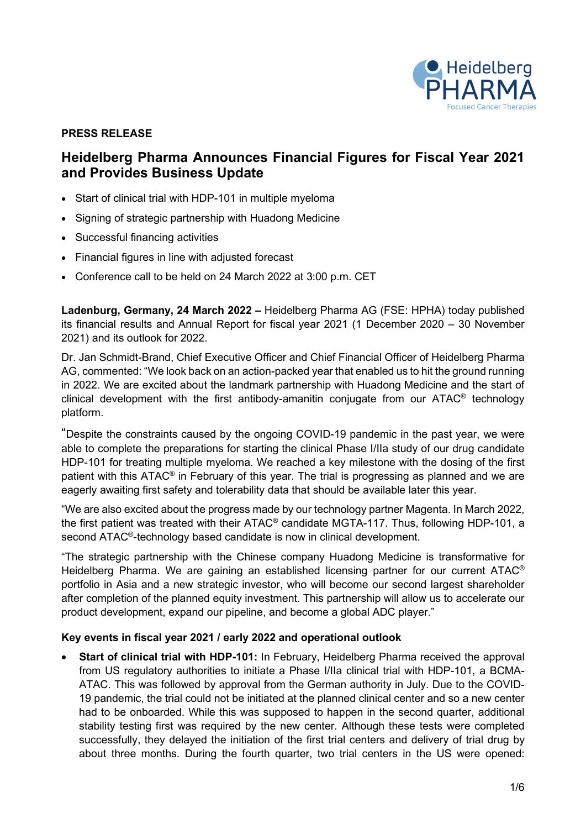

# **PRESS RELEASE**

# **Heidelberg Pharma Announces Financial Figures for Fiscal Year 2021 and Provides Business Update**

- Start of clinical trial with HDP-101 in multiple myeloma
- Signing of strategic partnership with Huadong Medicine
- Successful financing activities
- Financial figures in line with adjusted forecast
- Conference call to be held on 24 March 2022 at 3:00 p.m. CET

**Ladenburg, Germany, 24 March 2022 –** Heidelberg Pharma AG (FSE: HPHA) today published its financial results and Annual Report for fiscal year 2021 (1 December 2020 – 30 November 2021) and its outlook for 2022.

Dr. Jan Schmidt-Brand, Chief Executive Officer and Chief Financial Officer of Heidelberg Pharma AG, commented: "We look back on an action-packed year that enabled us to hit the ground running in 2022. We are excited about the landmark partnership with Huadong Medicine and the start of clinical development with the first antibody-amanitin conjugate from our  $ATAC^{\circ}$  technology platform.

"Despite the constraints caused by the ongoing COVID-19 pandemic in the past year, we were able to complete the preparations for starting the clinical Phase I/IIa study of our drug candidate HDP-101 for treating multiple myeloma. We reached a key milestone with the dosing of the first patient with this ATAC® in February of this year. The trial is progressing as planned and we are eagerly awaiting first safety and tolerability data that should be available later this year.

"We are also excited about the progress made by our technology partner Magenta. In March 2022, the first patient was treated with their ATAC® candidate MGTA-117. Thus, following HDP-101, a second ATAC®-technology based candidate is now in clinical development.

"The strategic partnership with the Chinese company Huadong Medicine is transformative for Heidelberg Pharma. We are gaining an established licensing partner for our current ATAC<sup>®</sup> portfolio in Asia and a new strategic investor, who will become our second largest shareholder after completion of the planned equity investment. This partnership will allow us to accelerate our product development, expand our pipeline, and become a global ADC player."

# **Key events in fiscal year 2021 / early 2022 and operational outlook**

• **Start of clinical trial with HDP-101:** In February, Heidelberg Pharma received the approval from US regulatory authorities to initiate a Phase I/IIa clinical trial with HDP-101, a BCMA-ATAC. This was followed by approval from the German authority in July. Due to the COVID-19 pandemic, the trial could not be initiated at the planned clinical center and so a new center had to be onboarded. While this was supposed to happen in the second quarter, additional stability testing first was required by the new center. Although these tests were completed successfully, they delayed the initiation of the first trial centers and delivery of trial drug by about three months. During the fourth quarter, two trial centers in the US were opened: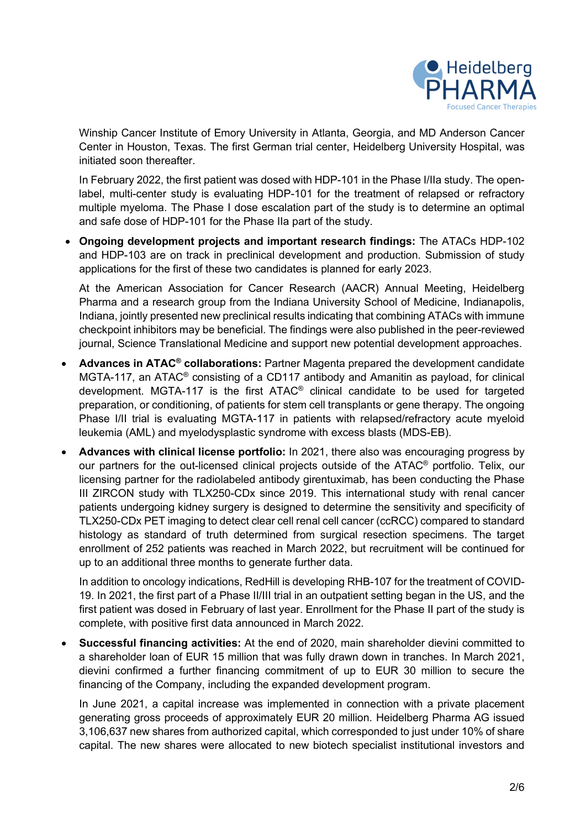

Winship Cancer Institute of Emory University in Atlanta, Georgia, and MD Anderson Cancer Center in Houston, Texas. The first German trial center, Heidelberg University Hospital, was initiated soon thereafter.

In February 2022, the first patient was dosed with HDP-101 in the Phase I/IIa study. The openlabel, multi-center study is evaluating HDP-101 for the treatment of relapsed or refractory multiple myeloma. The Phase I dose escalation part of the study is to determine an optimal and safe dose of HDP-101 for the Phase IIa part of the study.

• **Ongoing development projects and important research findings:** The ATACs HDP-102 and HDP-103 are on track in preclinical development and production. Submission of study applications for the first of these two candidates is planned for early 2023.

At the American Association for Cancer Research (AACR) Annual Meeting, Heidelberg Pharma and a research group from the Indiana University School of Medicine, Indianapolis, Indiana, jointly presented new preclinical results indicating that combining ATACs with immune checkpoint inhibitors may be beneficial. The findings were also published in the peer-reviewed journal, Science Translational Medicine and support new potential development approaches.

- **Advances in ATAC® collaborations:** Partner Magenta prepared the development candidate MGTA-117, an ATAC® consisting of a CD117 antibody and Amanitin as payload, for clinical development. MGTA-117 is the first ATAC® clinical candidate to be used for targeted preparation, or conditioning, of patients for stem cell transplants or gene therapy. The ongoing Phase I/II trial is evaluating MGTA-117 in patients with relapsed/refractory acute myeloid leukemia (AML) and myelodysplastic syndrome with excess blasts (MDS-EB).
- **Advances with clinical license portfolio:** In 2021, there also was encouraging progress by our partners for the out-licensed clinical projects outside of the ATAC® portfolio. Telix, our licensing partner for the radiolabeled antibody girentuximab, has been conducting the Phase III ZIRCON study with TLX250-CDx since 2019. This international study with renal cancer patients undergoing kidney surgery is designed to determine the sensitivity and specificity of TLX250-CDx PET imaging to detect clear cell renal cell cancer (ccRCC) compared to standard histology as standard of truth determined from surgical resection specimens. The target enrollment of 252 patients was reached in March 2022, but recruitment will be continued for up to an additional three months to generate further data.

In addition to oncology indications, RedHill is developing RHB-107 for the treatment of COVID-19. In 2021, the first part of a Phase II/III trial in an outpatient setting began in the US, and the first patient was dosed in February of last year. Enrollment for the Phase II part of the study is complete, with positive first data announced in March 2022.

• **Successful financing activities:** At the end of 2020, main shareholder dievini committed to a shareholder loan of EUR 15 million that was fully drawn down in tranches. In March 2021, dievini confirmed a further financing commitment of up to EUR 30 million to secure the financing of the Company, including the expanded development program.

In June 2021, a capital increase was implemented in connection with a private placement generating gross proceeds of approximately EUR 20 million. Heidelberg Pharma AG issued 3,106,637 new shares from authorized capital, which corresponded to just under 10% of share capital. The new shares were allocated to new biotech specialist institutional investors and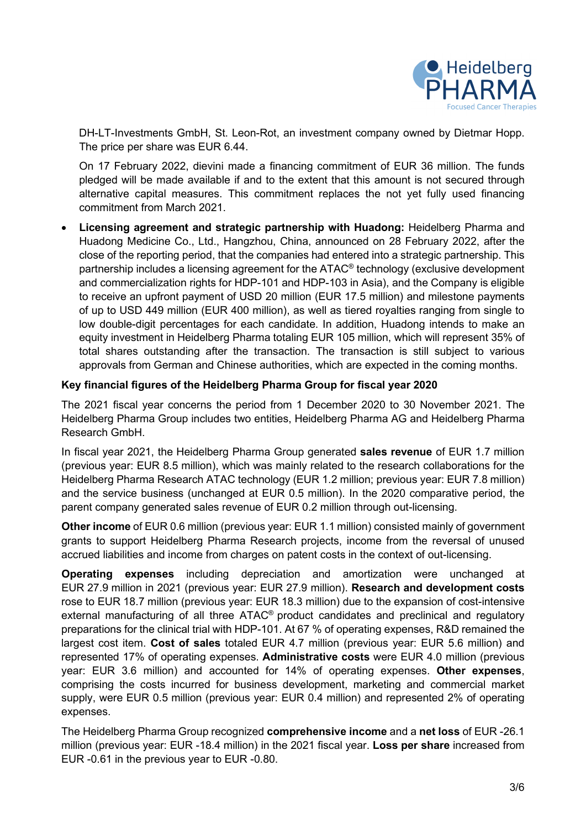

DH-LT-Investments GmbH, St. Leon-Rot, an investment company owned by Dietmar Hopp. The price per share was EUR 6.44.

On 17 February 2022, dievini made a financing commitment of EUR 36 million. The funds pledged will be made available if and to the extent that this amount is not secured through alternative capital measures. This commitment replaces the not yet fully used financing commitment from March 2021.

• **Licensing agreement and strategic partnership with Huadong:** Heidelberg Pharma and Huadong Medicine Co., Ltd., Hangzhou, China, announced on 28 February 2022, after the close of the reporting period, that the companies had entered into a strategic partnership. This partnership includes a licensing agreement for the ATAC® technology (exclusive development and commercialization rights for HDP-101 and HDP-103 in Asia), and the Company is eligible to receive an upfront payment of USD 20 million (EUR 17.5 million) and milestone payments of up to USD 449 million (EUR 400 million), as well as tiered royalties ranging from single to low double-digit percentages for each candidate. In addition, Huadong intends to make an equity investment in Heidelberg Pharma totaling EUR 105 million, which will represent 35% of total shares outstanding after the transaction. The transaction is still subject to various approvals from German and Chinese authorities, which are expected in the coming months.

# **Key financial figures of the Heidelberg Pharma Group for fiscal year 2020**

The 2021 fiscal year concerns the period from 1 December 2020 to 30 November 2021. The Heidelberg Pharma Group includes two entities, Heidelberg Pharma AG and Heidelberg Pharma Research GmbH.

In fiscal year 2021, the Heidelberg Pharma Group generated **sales revenue** of EUR 1.7 million (previous year: EUR 8.5 million), which was mainly related to the research collaborations for the Heidelberg Pharma Research ATAC technology (EUR 1.2 million; previous year: EUR 7.8 million) and the service business (unchanged at EUR 0.5 million). In the 2020 comparative period, the parent company generated sales revenue of EUR 0.2 million through out-licensing.

**Other income** of EUR 0.6 million (previous year: EUR 1.1 million) consisted mainly of government grants to support Heidelberg Pharma Research projects, income from the reversal of unused accrued liabilities and income from charges on patent costs in the context of out-licensing.

**Operating expenses** including depreciation and amortization were unchanged at EUR 27.9 million in 2021 (previous year: EUR 27.9 million). **Research and development costs**  rose to EUR 18.7 million (previous year: EUR 18.3 million) due to the expansion of cost-intensive external manufacturing of all three ATAC® product candidates and preclinical and regulatory preparations for the clinical trial with HDP-101. At 67 % of operating expenses, R&D remained the largest cost item. **Cost of sales** totaled EUR 4.7 million (previous year: EUR 5.6 million) and represented 17% of operating expenses. **Administrative costs** were EUR 4.0 million (previous year: EUR 3.6 million) and accounted for 14% of operating expenses. **Other expenses**, comprising the costs incurred for business development, marketing and commercial market supply, were EUR 0.5 million (previous year: EUR 0.4 million) and represented 2% of operating expenses.

The Heidelberg Pharma Group recognized **comprehensive income** and a **net loss** of EUR -26.1 million (previous year: EUR -18.4 million) in the 2021 fiscal year. **Loss per share** increased from EUR -0.61 in the previous year to EUR -0.80.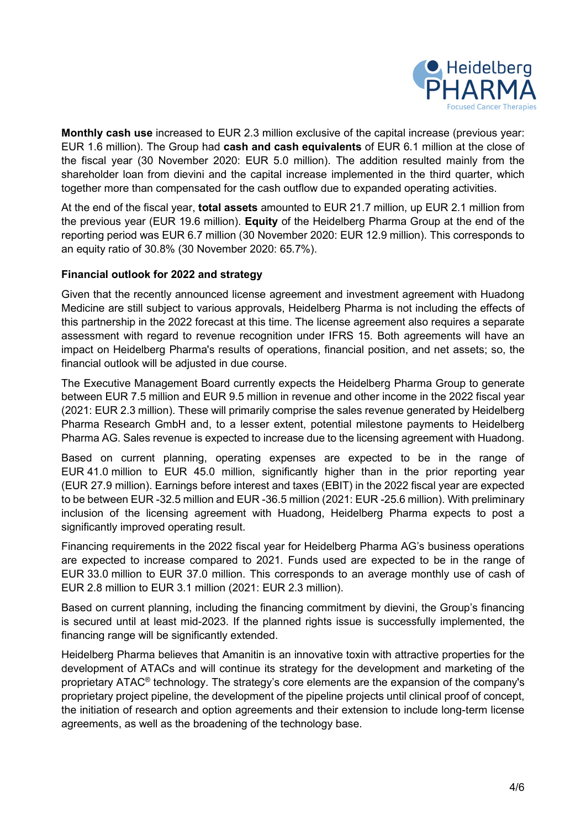

**Monthly cash use** increased to EUR 2.3 million exclusive of the capital increase (previous year: EUR 1.6 million). The Group had **cash and cash equivalents** of EUR 6.1 million at the close of the fiscal year (30 November 2020: EUR 5.0 million). The addition resulted mainly from the shareholder loan from dievini and the capital increase implemented in the third quarter, which together more than compensated for the cash outflow due to expanded operating activities.

At the end of the fiscal year, **total assets** amounted to EUR 21.7 million, up EUR 2.1 million from the previous year (EUR 19.6 million). **Equity** of the Heidelberg Pharma Group at the end of the reporting period was EUR 6.7 million (30 November 2020: EUR 12.9 million). This corresponds to an equity ratio of 30.8% (30 November 2020: 65.7%).

# **Financial outlook for 2022 and strategy**

Given that the recently announced license agreement and investment agreement with Huadong Medicine are still subject to various approvals, Heidelberg Pharma is not including the effects of this partnership in the 2022 forecast at this time. The license agreement also requires a separate assessment with regard to revenue recognition under IFRS 15. Both agreements will have an impact on Heidelberg Pharma's results of operations, financial position, and net assets; so, the financial outlook will be adjusted in due course.

The Executive Management Board currently expects the Heidelberg Pharma Group to generate between EUR 7.5 million and EUR 9.5 million in revenue and other income in the 2022 fiscal year (2021: EUR 2.3 million). These will primarily comprise the sales revenue generated by Heidelberg Pharma Research GmbH and, to a lesser extent, potential milestone payments to Heidelberg Pharma AG. Sales revenue is expected to increase due to the licensing agreement with Huadong.

Based on current planning, operating expenses are expected to be in the range of EUR 41.0 million to EUR 45.0 million, significantly higher than in the prior reporting year (EUR 27.9 million). Earnings before interest and taxes (EBIT) in the 2022 fiscal year are expected to be between EUR -32.5 million and EUR -36.5 million (2021: EUR -25.6 million). With preliminary inclusion of the licensing agreement with Huadong, Heidelberg Pharma expects to post a significantly improved operating result.

Financing requirements in the 2022 fiscal year for Heidelberg Pharma AG's business operations are expected to increase compared to 2021. Funds used are expected to be in the range of EUR 33.0 million to EUR 37.0 million. This corresponds to an average monthly use of cash of EUR 2.8 million to EUR 3.1 million (2021: EUR 2.3 million).

Based on current planning, including the financing commitment by dievini, the Group's financing is secured until at least mid-2023. If the planned rights issue is successfully implemented, the financing range will be significantly extended.

Heidelberg Pharma believes that Amanitin is an innovative toxin with attractive properties for the development of ATACs and will continue its strategy for the development and marketing of the proprietary ATAC® technology. The strategy's core elements are the expansion of the company's proprietary project pipeline, the development of the pipeline projects until clinical proof of concept, the initiation of research and option agreements and their extension to include long-term license agreements, as well as the broadening of the technology base.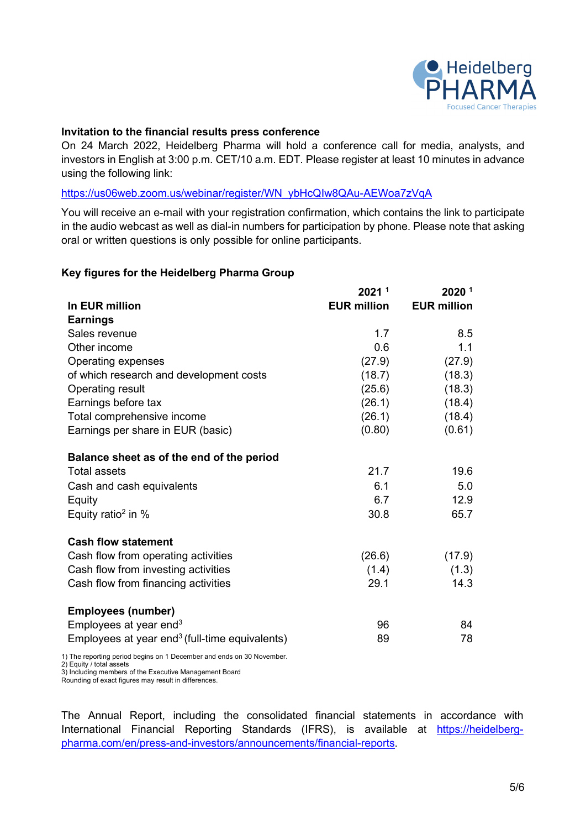

## **Invitation to the financial results press conference**

On 24 March 2022, Heidelberg Pharma will hold a conference call for media, analysts, and investors in English at 3:00 p.m. CET/10 a.m. EDT. Please register at least 10 minutes in advance using the following link:

#### [https://us06web.zoom.us/webinar/register/WN\\_ybHcQIw8QAu-AEWoa7zVqA](https://us06web.zoom.us/webinar/register/WN_ybHcQIw8QAu-AEWoa7zVqA)

You will receive an e-mail with your registration confirmation, which contains the link to participate in the audio webcast as well as dial-in numbers for participation by phone. Please note that asking oral or written questions is only possible for online participants.

### **Key figures for the Heidelberg Pharma Group**

|                                                                   | 2021 <sup>1</sup>  | 2020 <sup>1</sup>  |
|-------------------------------------------------------------------|--------------------|--------------------|
| In EUR million                                                    | <b>EUR million</b> | <b>EUR million</b> |
| <b>Earnings</b>                                                   |                    |                    |
| Sales revenue                                                     | 1.7                | 8.5                |
| Other income                                                      | 0.6                | 1.1                |
| Operating expenses                                                | (27.9)             | (27.9)             |
| of which research and development costs                           | (18.7)             | (18.3)             |
| <b>Operating result</b>                                           | (25.6)             | (18.3)             |
| Earnings before tax                                               | (26.1)             | (18.4)             |
| Total comprehensive income                                        | (26.1)             | (18.4)             |
| Earnings per share in EUR (basic)                                 | (0.80)             | (0.61)             |
| Balance sheet as of the end of the period                         |                    |                    |
| <b>Total assets</b>                                               | 21.7               | 19.6               |
| Cash and cash equivalents                                         | 6.1                | 5.0                |
| Equity                                                            | 6.7                | 12.9               |
| Equity ratio <sup>2</sup> in $%$                                  | 30.8               | 65.7               |
| <b>Cash flow statement</b>                                        |                    |                    |
| Cash flow from operating activities                               | (26.6)             | (17.9)             |
| Cash flow from investing activities                               | (1.4)              | (1.3)              |
| Cash flow from financing activities                               | 29.1               | 14.3               |
| <b>Employees (number)</b>                                         |                    |                    |
| Employees at year end $3$                                         | 96                 | 84                 |
| Employees at year end <sup>3</sup> (full-time equivalents)        | 89                 | 78                 |
| The reporting period begins on 1 December and ends on 30 November |                    |                    |

1) The reporting period begins on 1 December and ends on 30 November.

2) Equity / total assets

3) Including members of the Executive Management Board

Rounding of exact figures may result in differences.

The Annual Report, including the consolidated financial statements in accordance with International Financial Reporting Standards (IFRS), is available at [https://heidelberg](https://heidelberg-pharma.com/en/press-and-investors/announcements/financial-reports)[pharma.com/en/press-and-investors/announcements/financial-reports.](https://heidelberg-pharma.com/en/press-and-investors/announcements/financial-reports)